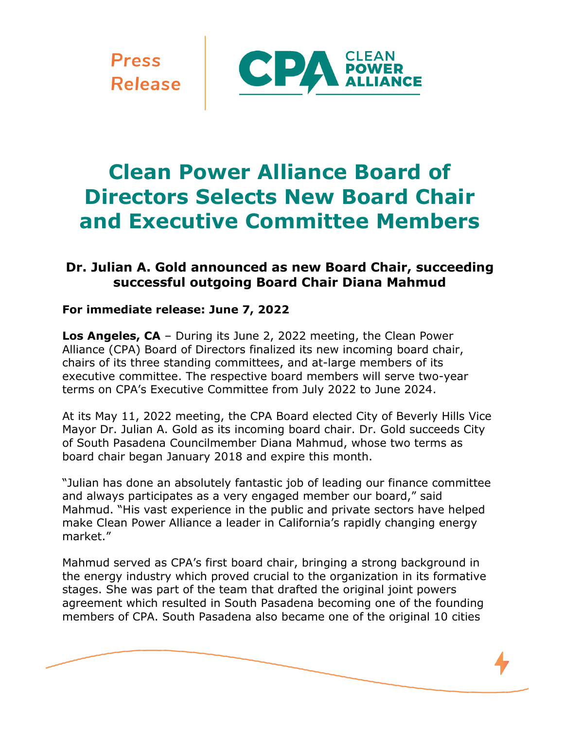**Press Release** 



# **Clean Power Alliance Board of Directors Selects New Board Chair and Executive Committee Members**

## **Dr. Julian A. Gold announced as new Board Chair, succeeding successful outgoing Board Chair Diana Mahmud**

### **For immediate release: June 7, 2022**

**Los Angeles, CA** – During its June 2, 2022 meeting, the Clean Power Alliance (CPA) Board of Directors finalized its new incoming board chair, chairs of its three standing committees, and at-large members of its executive committee. The respective board members will serve two-year terms on CPA's Executive Committee from July 2022 to June 2024.

At its May 11, 2022 meeting, the CPA Board elected City of Beverly Hills Vice Mayor Dr. Julian A. Gold as its incoming board chair. Dr. Gold succeeds City of South Pasadena Councilmember Diana Mahmud, whose two terms as board chair began January 2018 and expire this month.

"Julian has done an absolutely fantastic job of leading our finance committee and always participates as a very engaged member our board," said Mahmud. "His vast experience in the public and private sectors have helped make Clean Power Alliance a leader in California's rapidly changing energy market."

Mahmud served as CPA's first board chair, bringing a strong background in the energy industry which proved crucial to the organization in its formative stages. She was part of the team that drafted the original joint powers agreement which resulted in South Pasadena becoming one of the founding members of CPA. South Pasadena also became one of the original 10 cities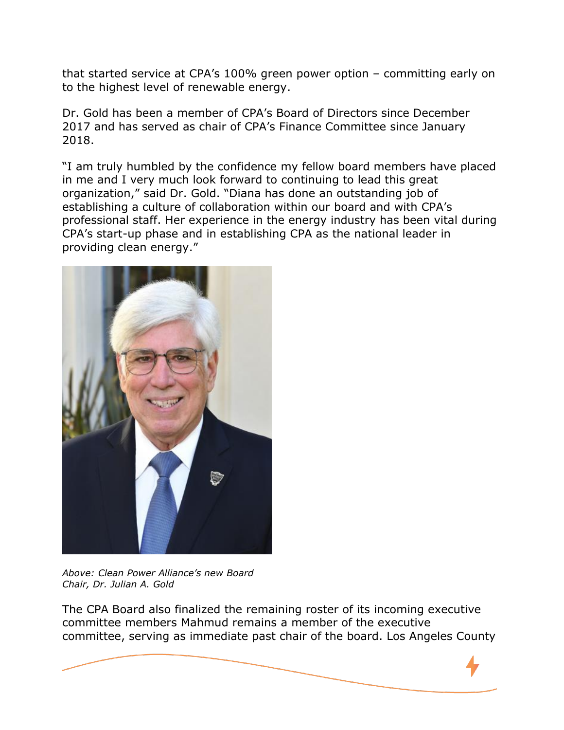that started service at CPA's 100% green power option – committing early on to the highest level of renewable energy.

Dr. Gold has been a member of CPA's Board of Directors since December 2017 and has served as chair of CPA's Finance Committee since January 2018.

"I am truly humbled by the confidence my fellow board members have placed in me and I very much look forward to continuing to lead this great organization," said Dr. Gold. "Diana has done an outstanding job of establishing a culture of collaboration within our board and with CPA's professional staff. Her experience in the energy industry has been vital during CPA's start-up phase and in establishing CPA as the national leader in providing clean energy."



*Above: Clean Power Alliance's new Board Chair, Dr. Julian A. Gold*

The CPA Board also finalized the remaining roster of its incoming executive committee members Mahmud remains a member of the executive committee, serving as immediate past chair of the board. Los Angeles County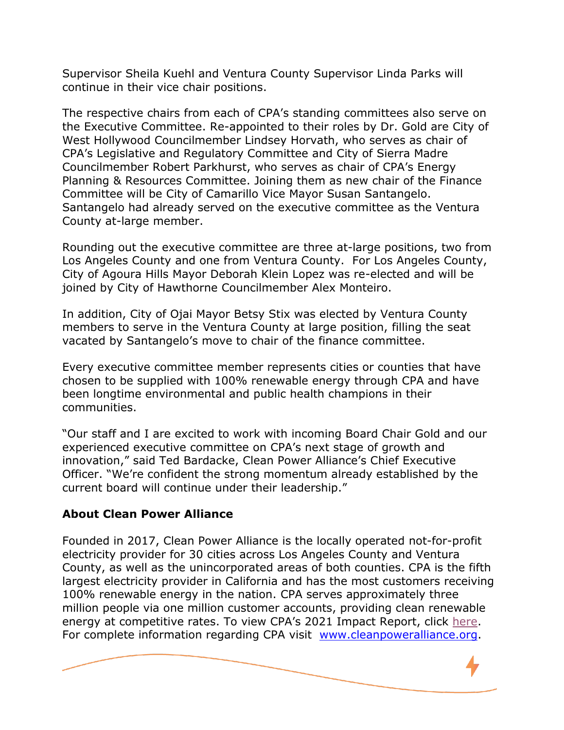Supervisor Sheila Kuehl and Ventura County Supervisor Linda Parks will continue in their vice chair positions.

The respective chairs from each of CPA's standing committees also serve on the Executive Committee. Re-appointed to their roles by Dr. Gold are City of West Hollywood Councilmember Lindsey Horvath, who serves as chair of CPA's Legislative and Regulatory Committee and City of Sierra Madre Councilmember Robert Parkhurst, who serves as chair of CPA's Energy Planning & Resources Committee. Joining them as new chair of the Finance Committee will be City of Camarillo Vice Mayor Susan Santangelo. Santangelo had already served on the executive committee as the Ventura County at-large member.

Rounding out the executive committee are three at-large positions, two from Los Angeles County and one from Ventura County. For Los Angeles County, City of Agoura Hills Mayor Deborah Klein Lopez was re-elected and will be joined by City of Hawthorne Councilmember Alex Monteiro.

In addition, City of Ojai Mayor Betsy Stix was elected by Ventura County members to serve in the Ventura County at large position, filling the seat vacated by Santangelo's move to chair of the finance committee.

Every executive committee member represents cities or counties that have chosen to be supplied with 100% renewable energy through CPA and have been longtime environmental and public health champions in their communities.

"Our staff and I are excited to work with incoming Board Chair Gold and our experienced executive committee on CPA's next stage of growth and innovation," said Ted Bardacke, Clean Power Alliance's Chief Executive Officer. "We're confident the strong momentum already established by the current board will continue under their leadership."

#### **About Clean Power Alliance**

Founded in 2017, Clean Power Alliance is the locally operated not-for-profit electricity provider for 30 cities across Los Angeles County and Ventura County, as well as the unincorporated areas of both counties. CPA is the fifth largest electricity provider in California and has the most customers receiving 100% renewable energy in the nation. CPA serves approximately three million people via one million customer accounts, providing clean renewable energy at competitive rates. To view CPA's 2021 Impact Report, click [here.](https://cleanpoweralliance.org/wp-content/uploads/2022/04/cpa_2021_impact_report_FINAL_spreads.pdf) For complete information regarding CPA visit [www.cleanpoweralliance.org.](http://www.cleanpoweralliance.org/)